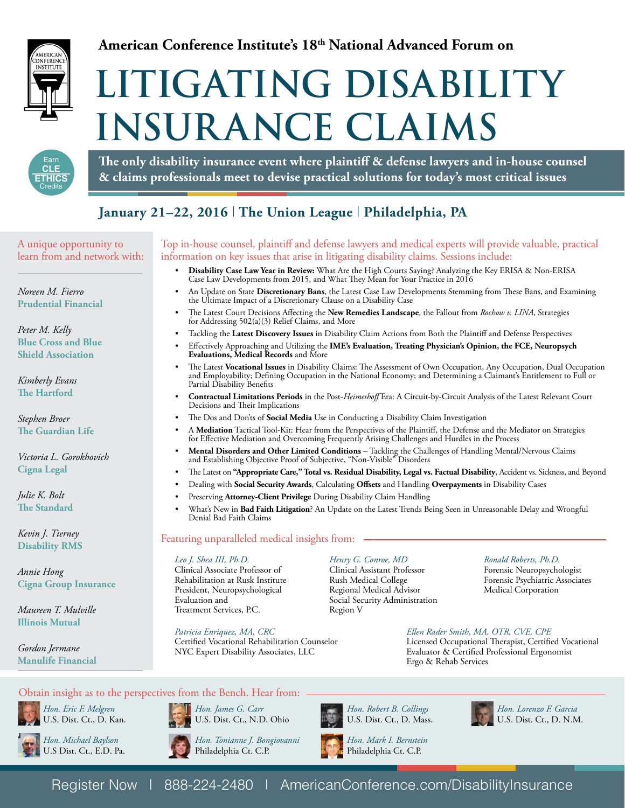

# **American Conference Institute's 18th National Advanced Forum on**

# **LITIGATING DISABILITY INSURANCE CLAIMS**



**The only disability insurance event where plaintiff & defense lawyers and in-house counsel & claims professionals meet to devise practical solutions for today's most critical issues**

# **January 21–22, 2016** | **The Union League** | **Philadelphia, PA**

A unique opportunity to learn from and network with:

*Noreen M. Fierro* **Prudential Financial**

*Peter M. Kelly* **Blue Cross and Blue Shield Association**

*Kimberly Evans* **The Hartford** 

*Stephen Broer* **The Guardian Life**

*Victoria L. Gorokhovich*  **Cigna Legal** 

*Julie K. Bolt*  **The Standard**

*Kevin J. Tierney*  **Disability RMS**

*Annie Hong* **Cigna Group Insurance**

*Maureen T. Mulville* **Illinois Mutual**

*Gordon Jermane*  **Manulife Financial** 

# Top in-house counsel, plaintiff and defense lawyers and medical experts will provide valuable, practical information on key issues that arise in litigating disability claims. Sessions include:

- **Disability Case Law Year in Review:** What Are the High Courts Saying? Analyzing the Key ERISA & Non-ERISA Case Law Developments from 2015, and What They Mean for Your Practice in 2016
- An Update on State **Discretionary Bans**, the Latest Case Law Developments Stemming from These Bans, and Examining the Ultimate Impact of a Discretionary Clause on a Disability Case
- The Latest Court Decisions Affecting the **New Remedies Landscape**, the Fallout from *Rochow v. LINA*, Strategies for Addressing 502(a)(3) Relief Claims, and More
- Tackling the **Latest Discovery Issues** in Disability Claim Actions from Both the Plaintiff and Defense Perspectives
- Effectively Approaching and Utilizing the **IME's Evaluation, Treating Physician's Opinion, the FCE, Neuropsych Evaluations, Medical Records** and More
- The Latest **Vocational Issues** in Disability Claims: The Assessment of Own Occupation, Any Occupation, Dual Occupation and Employability; Defining Occupation in the National Economy; and Determining a Claimant's Entitlement to Full or Partial Disability Benefits
- **Contractual Limitations Periods** in the Post-*Heimeshoff* Era: A Circuit-by-Circuit Analysis of the Latest Relevant Court Decisions and Their Implications
- The Dos and Don'ts of **Social Media** Use in Conducting a Disability Claim Investigation
- A **Mediation** Tactical Tool-Kit: Hear from the Perspectives of the Plaintiff, the Defense and the Mediator on Strategies for Effective Mediation and Overcoming Frequently Arising Challenges and Hurdles in the Process
- **Mental Disorders and Other Limited Conditions** Tackling the Challenges of Handling Mental/Nervous Claims and Establishing Objective Proof of Subjective, "Non-Visible" Disorders
- The Latest on **"Appropriate Care," Total vs. Residual Disability, Legal vs. Factual Disability**, Accident vs. Sickness, and Beyond
- Dealing with **Social Security Awards**, Calculating **Offsets** and Handling **Overpayments** in Disability Cases
	- Preserving **Attorney-Client Privilege** During Disability Claim Handling
	- What's New in **Bad Faith Litigation**? An Update on the Latest Trends Being Seen in Unreasonable Delay and Wrongful Denial Bad Faith Claims

# Featuring unparalleled medical insights from:

#### *Leo J. Shea III, Ph.D.*

Clinical Associate Professor of Rehabilitation at Rusk Institute President, Neuropsychological Evaluation and Treatment Services, P.C.

*Patricia Enriquez, MA, CRC* Certified Vocational Rehabilitation Counselor

#### *Henry G. Conroe, MD*

Clinical Assistant Professor Rush Medical College Regional Medical Advisor Social Security Administration Region V

*Ronald Roberts, Ph.D.* Forensic Neuropsychologist Forensic Psychiatric Associates Medical Corporation

# *Ellen Rader Smith, MA, OTR, CVE, CPE*

Licensed Occupational Therapist, Certified Vocational Evaluator & Certified Professional Ergonomist Ergo & Rehab Services

# Obtain insight as to the perspectives from the Bench. Hear from:



*Hon. Eric F. Melgren* U.S. Dist. Ct., D. Kan.



U.S Dist. Ct., E.D. Pa.



*Hon. Tonianne J. Bongiovanni* Philadelphia Ct. C.P.

NYC Expert Disability Associates, LLC

*Hon. James G. Carr* U.S. Dist. Ct., N.D. Ohio



*Hon. Mark I. Bernstein*

Philadelphia Ct. C.P.



*Hon. Lorenzo F. Garcia* U.S. Dist. Ct., D. N.M.

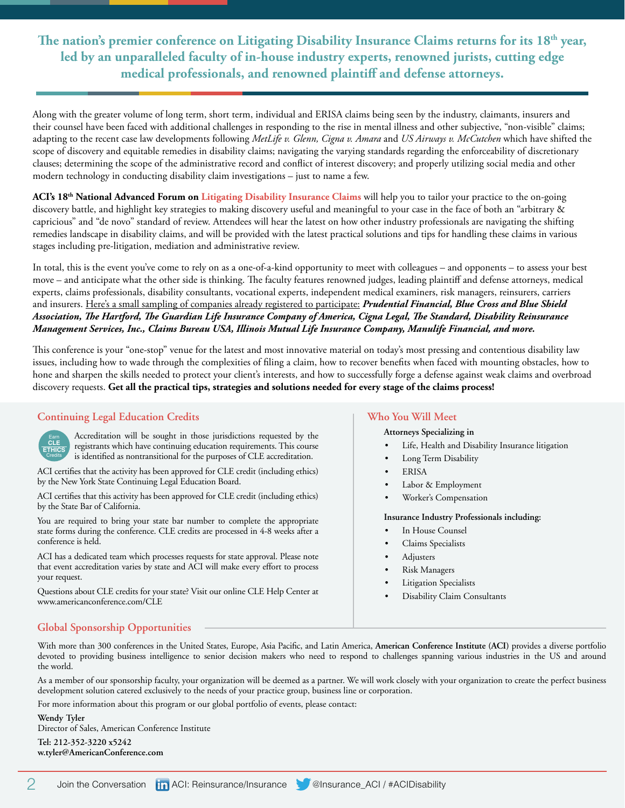**The nation's premier conference on Litigating Disability Insurance Claims returns for its 18th year, led by an unparalleled faculty of in-house industry experts, renowned jurists, cutting edge medical professionals, and renowned plaintiff and defense attorneys.** 

Along with the greater volume of long term, short term, individual and ERISA claims being seen by the industry, claimants, insurers and their counsel have been faced with additional challenges in responding to the rise in mental illness and other subjective, "non-visible" claims; adapting to the recent case law developments following *MetLife v. Glenn, Cigna v. Amara* and *US Airways v. McCutchen* which have shifted the scope of discovery and equitable remedies in disability claims; navigating the varying standards regarding the enforceability of discretionary clauses; determining the scope of the administrative record and conflict of interest discovery; and properly utilizing social media and other modern technology in conducting disability claim investigations – just to name a few.

ACI's 18<sup>th</sup> National Advanced Forum on Litigating Disability Insurance Claims will help you to tailor your practice to the on-going discovery battle, and highlight key strategies to making discovery useful and meaningful to your case in the face of both an "arbitrary & capricious" and "de novo" standard of review. Attendees will hear the latest on how other industry professionals are navigating the shifting remedies landscape in disability claims, and will be provided with the latest practical solutions and tips for handling these claims in various stages including pre-litigation, mediation and administrative review.

In total, this is the event you've come to rely on as a one-of-a-kind opportunity to meet with colleagues – and opponents – to assess your best move – and anticipate what the other side is thinking. The faculty features renowned judges, leading plaintiff and defense attorneys, medical experts, claims professionals, disability consultants, vocational experts, independent medical examiners, risk managers, reinsurers, carriers and insurers. Here's a small sampling of companies already registered to participate: *Prudential Financial, Blue Cross and Blue Shield Association, The Hartford, The Guardian Life Insurance Company of America, Cigna Legal, The Standard, Disability Reinsurance Management Services, Inc., Claims Bureau USA, Illinois Mutual Life Insurance Company, Manulife Financial, and more.*

This conference is your "one-stop" venue for the latest and most innovative material on today's most pressing and contentious disability law issues, including how to wade through the complexities of filing a claim, how to recover benefits when faced with mounting obstacles, how to hone and sharpen the skills needed to protect your client's interests, and how to successfully forge a defense against weak claims and overbroad discovery requests. **Get all the practical tips, strategies and solutions needed for every stage of the claims process!**

# **Continuing Legal Education Credits**



Accreditation will be sought in those jurisdictions requested by the registrants which have continuing education requirements. This course is identified as nontransitional for the purposes of CLE accreditation.

ACI certifies that the activity has been approved for CLE credit (including ethics) by the New York State Continuing Legal Education Board.

ACI certifies that this activity has been approved for CLE credit (including ethics) by the State Bar of California.

You are required to bring your state bar number to complete the appropriate state forms during the conference. CLE credits are processed in 4-8 weeks after a conference is held.

ACI has a dedicated team which processes requests for state approval. Please note that event accreditation varies by state and ACI will make every effort to process your request.

Questions about CLE credits for your state? Visit our online CLE Help Center at www.americanconference.com/CLE

# **Who You Will Meet**

#### **Attorneys Specializing in**

- Life, Health and Disability Insurance litigation
- Long Term Disability
- **ERISA**
- Labor & Employment
- Worker's Compensation

#### **Insurance Industry Professionals including:**

- In House Counsel
- Claims Specialists
- **Adjusters**
- Risk Managers
- **Litigation Specialists**
- Disability Claim Consultants

# **Global Sponsorship Opportunities**

With more than 300 conferences in the United States, Europe, Asia Pacific, and Latin America, **American Conference Institute (ACI)** provides a diverse portfolio devoted to providing business intelligence to senior decision makers who need to respond to challenges spanning various industries in the US and around the world.

As a member of our sponsorship faculty, your organization will be deemed as a partner. We will work closely with your organization to create the perfect business development solution catered exclusively to the needs of your practice group, business line or corporation.

For more information about this program or our global portfolio of events, please contact:

#### **Wendy Tyler**

Director of Sales, American Conference Institute **Tel: 212-352-3220 x5242 w.tyler@AmericanConference.com**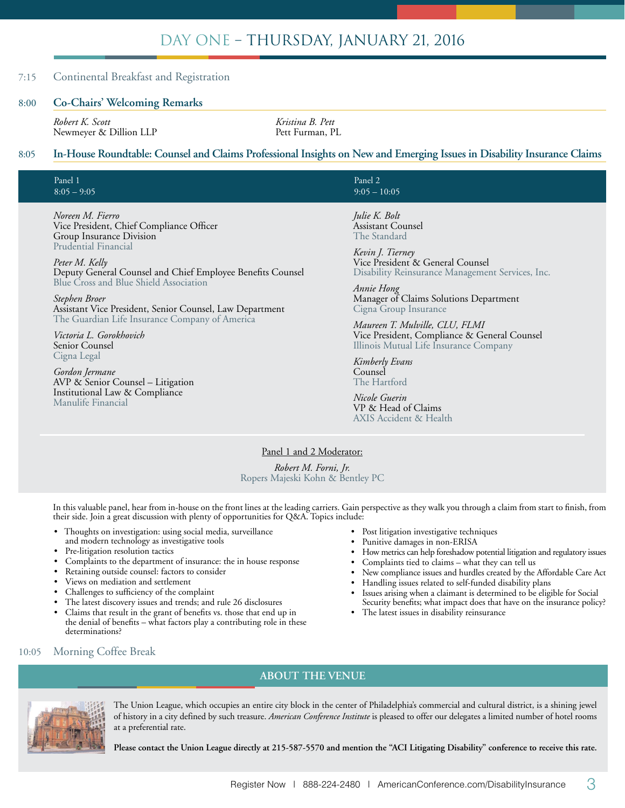# DAY ONE – THURSDAY, JANUARY 21, 2016

# 7:15 Continental Breakfast and Registration

#### 8:00 **Co-Chairs' Welcoming Remarks**

*Robert K. Scott Kristina B. Pett* Newmeyer & Dillion LLP

# 8:05 **In-House Roundtable: Counsel and Claims Professional Insights on New and Emerging Issues in Disability Insurance Claims**

| Panel 1       |  |  |
|---------------|--|--|
| $8:05 - 9:05$ |  |  |

*Noreen M. Fierro* Vice President, Chief Compliance Officer Group Insurance Division Prudential Financial

*Peter M. Kelly* Deputy General Counsel and Chief Employee Benefits Counsel Blue Cross and Blue Shield Association

*Stephen Broer* Assistant Vice President, Senior Counsel, Law Department The Guardian Life Insurance Company of America

*Victoria L. Gorokhovich*  Senior Counsel Cigna Legal

*Gordon Jermane*  AVP & Senior Counsel – Litigation Institutional Law & Compliance Manulife Financial

Panel 2  $9:05 - 10:05$ 

*Julie K. Bolt* Assistant Counsel The Standard

*Kevin J. Tierney*  Vice President & General Counsel Disability Reinsurance Management Services, Inc.

*Annie Hong* Manager of Claims Solutions Department Cigna Group Insurance

*Maureen T. Mulville, CLU, FLMI*  Vice President, Compliance & General Counsel Illinois Mutual Life Insurance Company

*Kimberly Evans*  Counsel The Hartford

*Nicole Guerin*  VP & Head of Claims AXIS Accident & Health

Panel 1 and 2 Moderator:

*Robert M. Forni, Jr.* Ropers Majeski Kohn & Bentley PC

In this valuable panel, hear from in-house on the front lines at the leading carriers. Gain perspective as they walk you through a claim from start to finish, from their side. Join a great discussion with plenty of opportunities for Q&A. Topics include:

- Thoughts on investigation: using social media, surveillance and modern technology as investigative tools
- Pre-litigation resolution tactics
- Complaints to the department of insurance: the in house response
- Retaining outside counsel: factors to consider
- Views on mediation and settlement
- Challenges to sufficiency of the complaint
- The latest discovery issues and trends; and rule 26 disclosures
- Claims that result in the grant of benefits vs. those that end up in the denial of benefits – what factors play a contributing role in these determinations?
- Post litigation investigative techniques
- Punitive damages in non-ERISA
- How metrics can help foreshadow potential litigation and regulatory issues
- Complaints tied to claims what they can tell us
- New compliance issues and hurdles created by the Affordable Care Act
- Handling issues related to self-funded disability plans
- Issues arising when a claimant is determined to be eligible for Social Security benefits; what impact does that have on the insurance policy?
- The latest issues in disability reinsurance

10:05 Morning Coffee Break

# **ABOUT THE VENUE**



The Union League, which occupies an entire city block in the center of Philadelphia's commercial and cultural district, is a shining jewel of history in a city defined by such treasure. *American Conference Institute* is pleased to offer our delegates a limited number of hotel rooms at a preferential rate.

**Please contact the Union League directly at 215-587-5570 and mention the "ACI Litigating Disability" conference to receive this rate.**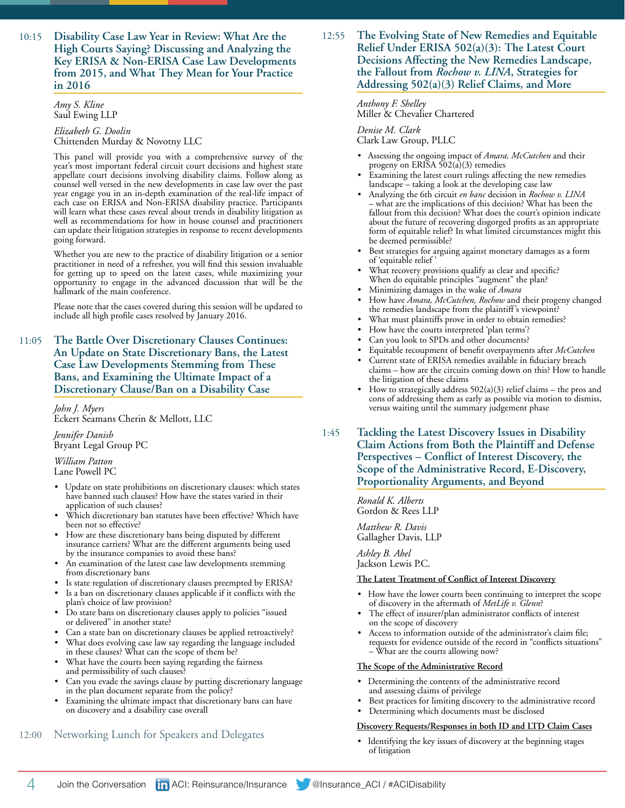10:15 **Disability Case Law Year in Review: What Are the High Courts Saying? Discussing and Analyzing the Key ERISA & Non-ERISA Case Law Developments from 2015, and What They Mean for Your Practice in 2016**

#### *Amy S. Kline* Saul Ewing LLP

*Elizabeth G. Doolin* Chittenden Murday & Novotny LLC

This panel will provide you with a comprehensive survey of the year's most important federal circuit court decisions and highest state appellate court decisions involving disability claims. Follow along as counsel well versed in the new developments in case law over the past year engage you in an in-depth examination of the real-life impact of each case on ERISA and Non-ERISA disability practice. Participants will learn what these cases reveal about trends in disability litigation as well as recommendations for how in house counsel and practitioners can update their litigation strategies in response to recent developments going forward.

Whether you are new to the practice of disability litigation or a senior practitioner in need of a refresher, you will find this session invaluable for getting up to speed on the latest cases, while maximizing your opportunity to engage in the advanced discussion that will be the hallmark of the main conference.

Please note that the cases covered during this session will be updated to include all high profile cases resolved by January 2016.

11:05 **The Battle Over Discretionary Clauses Continues: An Update on State Discretionary Bans, the Latest Case Law Developments Stemming from These Bans, and Examining the Ultimate Impact of a Discretionary Clause/Ban on a Disability Case**

> *John J. Myers* Eckert Seamans Cherin & Mellott, LLC

*Jennifer Danish* Bryant Legal Group PC

*William Patton* Lane Powell PC

- Update on state prohibitions on discretionary clauses: which states have banned such clauses? How have the states varied in their application of such clauses?
- Which discretionary ban statutes have been effective? Which have been not so effective?
- How are these discretionary bans being disputed by different insurance carriers? What are the different arguments being used by the insurance companies to avoid these bans?
- An examination of the latest case law developments stemming from discretionary bans
- Is state regulation of discretionary clauses preempted by ERISA?
- Is a ban on discretionary clauses applicable if it conflicts with the plan's choice of law provision?
- Do state bans on discretionary clauses apply to policies "issued or delivered" in another state?
- Can a state ban on discretionary clauses be applied retroactively?
- What does evolving case law say regarding the language included in these clauses? What can the scope of them be?
- What have the courts been saying regarding the fairness and permissibility of such clauses?
- Can you evade the savings clause by putting discretionary language in the plan document separate from the policy?
- Examining the ultimate impact that discretionary bans can have on discovery and a disability case overall

# 12:00 Networking Lunch for Speakers and Delegates

# 12:55 **The Evolving State of New Remedies and Equitable Relief Under ERISA 502(a)(3): The Latest Court Decisions Affecting the New Remedies Landscape, the Fallout from** *Rochow v. LINA***, Strategies for Addressing 502(a)(3) Relief Claims, and More**

*Anthony F. Shelley* Miller & Chevalier Chartered

#### *Denise M. Clark*

Clark Law Group, PLLC

- Assessing the ongoing impact of *Amara, McCutchen* and their progeny on ERISA  $502(a)(3)$  remedies
- Examining the latest court rulings affecting the new remedies landscape – taking a look at the developing case law
- Analyzing the 6th circuit *en banc* decision in *Rochow v. LINA* what are the implications of this decision? What has been the fallout from this decision? What does the court's opinion indicate about the future of recovering disgorged profits as an appropriate form of equitable relief? In what limited circumstances might this be deemed permissible?
- Best strategies for arguing against monetary damages as a form of 'equitable relief '
- What recovery provisions qualify as clear and specific? When do equitable principles "augment" the plan?
- Minimizing damages in the wake of *Amara*
- How have *Amara, McCutchen, Rochow* and their progeny changed the remedies landscape from the plaintiff's viewpoint?
- What must plaintiffs prove in order to obtain remedies?
- How have the courts interpreted 'plan terms'?
- Can you look to SPDs and other documents?
- Equitable recoupment of benefit overpayments after *McCutchen*
- Current state of ERISA remedies available in fiduciary breach claims – how are the circuits coming down on this? How to handle the litigation of these claims
- How to strategically address  $502(a)(3)$  relief claims the pros and cons of addressing them as early as possible via motion to dismiss, versus waiting until the summary judgement phase
- 1:45 **Tackling the Latest Discovery Issues in Disability Claim Actions from Both the Plaintiff and Defense Perspectives – Conflict of Interest Discovery, the Scope of the Administrative Record, E-Discovery, Proportionality Arguments, and Beyond**

*Ronald K. Alberts* Gordon & Rees LLP

*Matthew R. Davis* Gallagher Davis, LLP

*Ashley B. Abel* Jackson Lewis P.C.

#### **The Latest Treatment of Conflict of Interest Discovery**

- How have the lower courts been continuing to interpret the scope of discovery in the aftermath of *MetLife v. Glenn*?
- The effect of insurer/plan administrator conflicts of interest on the scope of discovery
- Access to information outside of the administrator's claim file; requests for evidence outside of the record in "conflicts situations" – What are the courts allowing now?

#### **The Scope of the Administrative Record**

- Determining the contents of the administrative record and assessing claims of privilege
- Best practices for limiting discovery to the administrative record
- Determining which documents must be disclosed

#### **Discovery Requests/Responses in both ID and LTD Claim Cases**

Identifying the key issues of discovery at the beginning stages of litigation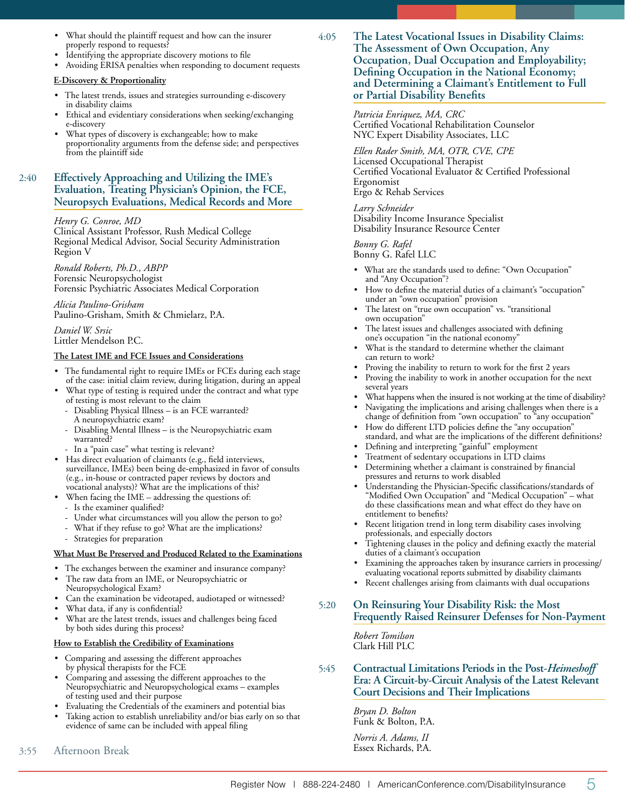- What should the plaintiff request and how can the insurer properly respond to requests?
- Identifying the appropriate discovery motions to file
- Avoiding ERISA penalties when responding to document requests

#### **E-Discovery & Proportionality**

- The latest trends, issues and strategies surrounding e-discovery in disability claims
- Ethical and evidentiary considerations when seeking/exchanging e-discovery
- What types of discovery is exchangeable; how to make proportionality arguments from the defense side; and perspectives from the plaintiff side

# 2:40 **Effectively Approaching and Utilizing the IME's Evaluation, Treating Physician's Opinion, the FCE, Neuropsych Evaluations, Medical Records and More**

#### *Henry G. Conroe, MD*

Clinical Assistant Professor, Rush Medical College Regional Medical Advisor, Social Security Administration Region V

*Ronald Roberts, Ph.D., ABPP* Forensic Neuropsychologist Forensic Psychiatric Associates Medical Corporation

*Alicia Paulino-Grisham* Paulino-Grisham, Smith & Chmielarz, P.A.

*Daniel W. Srsic*

Littler Mendelson P.C.

#### **The Latest IME and FCE Issues and Considerations**

- The fundamental right to require IMEs or FCEs during each stage of the case: initial claim review, during litigation, during an appeal
- What type of testing is required under the contract and what type of testing is most relevant to the claim
	- Disabling Physical Illness is an FCE warranted? A neuropsychiatric exam?
	- Disabling Mental Illness is the Neuropsychiatric exam warranted?
- In a "pain case" what testing is relevant?
- Has direct evaluation of claimants (e.g., field interviews, surveillance, IMEs) been being de-emphasized in favor of consults (e.g., in-house or contracted paper reviews by doctors and vocational analysts)? What are the implications of this?
- When facing the IME addressing the questions of:
	- Is the examiner qualified?
	- Under what circumstances will you allow the person to go?
	- What if they refuse to go? What are the implications?
	- Strategies for preparation

#### **What Must Be Preserved and Produced Related to the Examinations**

- The exchanges between the examiner and insurance company? The raw data from an IME, or Neuropsychiatric or
- Neuropsychological Exam? Can the examination be videotaped, audiotaped or witnessed?
- What data, if any is confidential?
- What are the latest trends, issues and challenges being faced by both sides during this process?

#### **How to Establish the Credibility of Examinations**

- Comparing and assessing the different approaches by physical therapists for the FCE
- Comparing and assessing the different approaches to the Neuropsychiatric and Neuropsychological exams – examples of testing used and their purpose
- Evaluating the Credentials of the examiners and potential bias
- Taking action to establish unreliability and/or bias early on so that evidence of same can be included with appeal filing
- 3:55 Afternoon Break

4:05 **The Latest Vocational Issues in Disability Claims: The Assessment of Own Occupation, Any Occupation, Dual Occupation and Employability; Defining Occupation in the National Economy; and Determining a Claimant's Entitlement to Full or Partial Disability Benefits**

> *Patricia Enriquez, MA, CRC* Certified Vocational Rehabilitation Counselor NYC Expert Disability Associates, LLC

*Ellen Rader Smith, MA, OTR, CVE, CPE* Licensed Occupational Therapist Certified Vocational Evaluator & Certified Professional Ergonomist Ergo & Rehab Services

*Larry Schneider* Disability Income Insurance Specialist Disability Insurance Resource Center

*Bonny G. Rafel* Bonny G. Rafel LLC

- What are the standards used to define: "Own Occupation" and "Any Occupation"?
- How to define the material duties of a claimant's "occupation" under an "own occupation" provision
- The latest on "true own occupation" vs. "transitional own occupation"
- The latest issues and challenges associated with defining one's occupation "in the national economy"
- What is the standard to determine whether the claimant can return to work?
- Proving the inability to return to work for the first 2 years
- Proving the inability to work in another occupation for the next several years
- What happens when the insured is not working at the time of disability?
- Navigating the implications and arising challenges when there is a change of definition from "own occupation" to "any occupation"
- How do different LTD policies define the "any occupation" standard, and what are the implications of the different definitions?
- Defining and interpreting "gainful" employment
- Treatment of sedentary occupations in LTD claims
- Determining whether a claimant is constrained by financial pressures and returns to work disabled
- Understanding the Physician-Specific classifications/standards of "Modified Own Occupation" and "Medical Occupation" – what do these classifications mean and what effect do they have on entitlement to benefits?
- Recent litigation trend in long term disability cases involving professionals, and especially doctors
- Tightening clauses in the policy and defining exactly the material duties of a claimant's occupation
- Examining the approaches taken by insurance carriers in processing/ evaluating vocational reports submitted by disability claimants
- Recent challenges arising from claimants with dual occupations

# 5:20 **On Reinsuring Your Disability Risk: the Most Frequently Raised Reinsurer Defenses for Non-Payment**

*Robert Tomilson* Clark Hill PLC

5:45 **Contractual Limitations Periods in the Post-***Heimeshoff* **Era: A Circuit-by-Circuit Analysis of the Latest Relevant Court Decisions and Their Implications**

> *Bryan D. Bolton* Funk & Bolton, P.A. *Norris A. Adams, II* Essex Richards, P.A.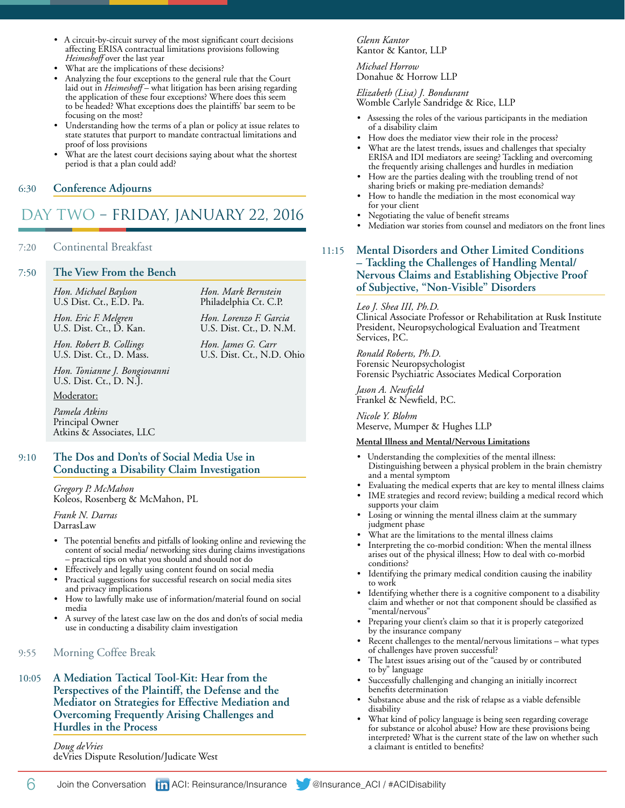- A circuit-by-circuit survey of the most significant court decisions affecting ERISA contractual limitations provisions following *Heimeshoff* over the last year
- What are the implications of these decisions?
- Analyzing the four exceptions to the general rule that the Court laid out in *Heimeshoff* – what litigation has been arising regarding the application of these four exceptions? Where does this seem to be headed? What exceptions does the plaintiffs' bar seem to be focusing on the most?
- Understanding how the terms of a plan or policy at issue relates to state statutes that purport to mandate contractual limitations and proof of loss provisions
- What are the latest court decisions saying about what the shortest period is that a plan could add?

*Hon. Mark Bernstein* Philadelphia Ct. C.P. *Hon. Lorenzo F. Garcia* U.S. Dist. Ct., D. N.M. *Hon. James G. Carr* U.S. Dist. Ct., N.D. Ohio

# 6:30 **Conference Adjourns**

# DAY TWO – FRIDAY, JANUARY 22, 2016

#### 7:20 Continental Breakfast

#### 7:50 **The View From the Bench**

*Hon. Michael Baylson* U.S Dist. Ct., E.D. Pa.

*Hon. Eric F. Melgren* U.S. Dist. Ct., D. Kan.

*Hon. Robert B. Collings* U.S. Dist. Ct., D. Mass.

*Hon. Tonianne J. Bongiovanni* U.S. Dist. Ct., D. N.J.

Moderator:

*Pamela Atkins* Principal Owner Atkins & Associates, LLC

# 9:10 **The Dos and Don'ts of Social Media Use in Conducting a Disability Claim Investigation**

*Gregory P. McMahon* Koleos, Rosenberg & McMahon, PL

*Frank N. Darras* DarrasLaw

- The potential benefits and pitfalls of looking online and reviewing the content of social media/ networking sites during claims investigations – practical tips on what you should and should not do
- Effectively and legally using content found on social media
- Practical suggestions for successful research on social media sites and privacy implications
- How to lawfully make use of information/material found on social media
- A survey of the latest case law on the dos and don'ts of social media use in conducting a disability claim investigation
- 9:55 Morning Coffee Break
- 10:05 **A Mediation Tactical Tool-Kit: Hear from the Perspectives of the Plaintiff, the Defense and the Mediator on Strategies for Effective Mediation and Overcoming Frequently Arising Challenges and Hurdles in the Process**

*Doug deVries*

deVries Dispute Resolution/Judicate West

*Glenn Kantor* Kantor & Kantor, LLP

*Michael Horrow* Donahue & Horrow LLP

*Elizabeth (Lisa) J. Bondurant*

Womble Carlyle Sandridge & Rice, LLP

- Assessing the roles of the various participants in the mediation of a disability claim
- How does the mediator view their role in the process?
- What are the latest trends, issues and challenges that specialty ERISA and IDI mediators are seeing? Tackling and overcoming the frequently arising challenges and hurdles in mediation
- How are the parties dealing with the troubling trend of not sharing briefs or making pre-mediation demands?
- How to handle the mediation in the most economical way for your client
- Negotiating the value of benefit streams
- Mediation war stories from counsel and mediators on the front lines

# 11:15 **Mental Disorders and Other Limited Conditions – Tackling the Challenges of Handling Mental/ Nervous Claims and Establishing Objective Proof of Subjective, "Non-Visible" Disorders**

#### *Leo J. Shea III, Ph.D.*

Clinical Associate Professor or Rehabilitation at Rusk Institute President, Neuropsychological Evaluation and Treatment Services, P.C.

*Ronald Roberts, Ph.D.* Forensic Neuropsychologist Forensic Psychiatric Associates Medical Corporation

*Jason A. Newfield* Frankel & Newfield, P.C.

*Nicole Y. Blohm* Meserve, Mumper & Hughes LLP

#### **Mental Illness and Mental/Nervous Limitations**

- Understanding the complexities of the mental illness: Distinguishing between a physical problem in the brain chemistry and a mental symptom
- Evaluating the medical experts that are key to mental illness claims
- IME strategies and record review; building a medical record which supports your claim
- Losing or winning the mental illness claim at the summary judgment phase
- What are the limitations to the mental illness claims
- Interpreting the co-morbid condition: When the mental illness arises out of the physical illness; How to deal with co-morbid conditions?
- Identifying the primary medical condition causing the inability to work
- Identifying whether there is a cognitive component to a disability claim and whether or not that component should be classified as "mental/nervous"
- Preparing your client's claim so that it is properly categorized by the insurance company
- Recent challenges to the mental/nervous limitations what types of challenges have proven successful?
- The latest issues arising out of the "caused by or contributed to by" language
- Successfully challenging and changing an initially incorrect benefits determination
- Substance abuse and the risk of relapse as a viable defensible disability
- What kind of policy language is being seen regarding coverage for substance or alcohol abuse? How are these provisions being interpreted? What is the current state of the law on whether such a claimant is entitled to benefits?

6 Join the Conversation **in** ACI: Reinsurance/Insurance **@**Insurance\_ACI / #ACIDisability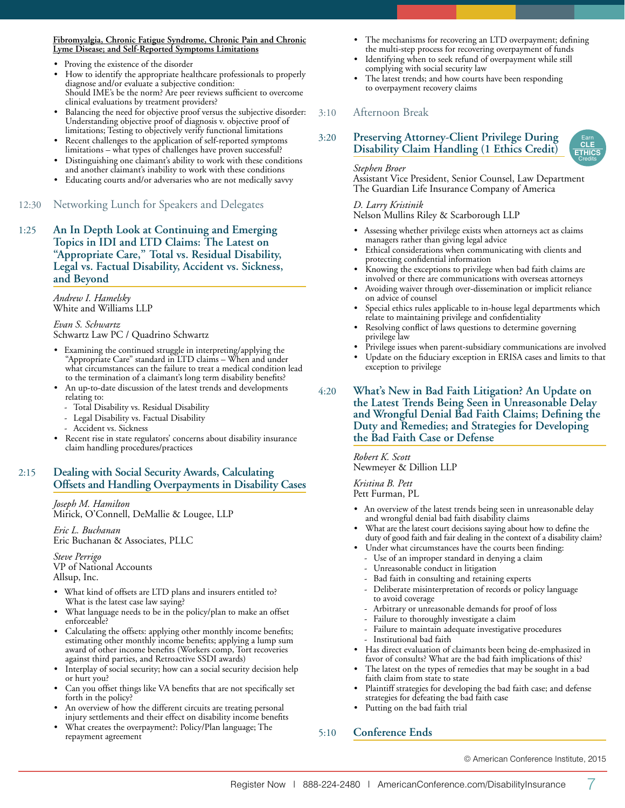#### **Fibromyalgia, Chronic Fatigue Syndrome, Chronic Pain and Chronic Lyme Disease; and Self-Reported Symptoms Limitations**

- Proving the existence of the disorder
- How to identify the appropriate healthcare professionals to properly diagnose and/or evaluate a subjective condition: Should IME's be the norm? Are peer reviews sufficient to overcome clinical evaluations by treatment providers?
- Balancing the need for objective proof versus the subjective disorder: Understanding objective proof of diagnosis v. objective proof of limitations; Testing to objectively verify functional limitations
- Recent challenges to the application of self-reported symptoms limitations – what types of challenges have proven successful?
- Distinguishing one claimant's ability to work with these conditions and another claimant's inability to work with these conditions
- Educating courts and/or adversaries who are not medically savvy
- 12:30 Networking Lunch for Speakers and Delegates
- 1:25 **An In Depth Look at Continuing and Emerging Topics in IDI and LTD Claims: The Latest on "Appropriate Care," Total vs. Residual Disability, Legal vs. Factual Disability, Accident vs. Sickness, and Beyond**

*Andrew I. Hamelsky* White and Williams LLP

*Evan S. Schwartz* Schwartz Law PC / Quadrino Schwartz

- Examining the continued struggle in interpreting/applying the "Appropriate Care" standard in LTD claims – When and under what circumstances can the failure to treat a medical condition lead to the termination of a claimant's long term disability benefits?
- An up-to-date discussion of the latest trends and developments relating to:
	- Total Disability vs. Residual Disability
	- Legal Disability vs. Factual Disability
	- Accident vs. Sickness
- Recent rise in state regulators' concerns about disability insurance claim handling procedures/practices

# 2:15 **Dealing with Social Security Awards, Calculating Offsets and Handling Overpayments in Disability Cases**

*Joseph M. Hamilton* Mirick, O'Connell, DeMallie & Lougee, LLP

*Eric L. Buchanan* Eric Buchanan & Associates, PLLC

*Steve Perrigo* VP of National Accounts Allsup, Inc.

- What kind of offsets are LTD plans and insurers entitled to? What is the latest case law saying?
- What language needs to be in the policy/plan to make an offset enforceable?
- Calculating the offsets: applying other monthly income benefits; estimating other monthly income benefits; applying a lump sum award of other income benefits (Workers comp, Tort recoveries against third parties, and Retroactive SSDI awards)
- Interplay of social security; how can a social security decision help or hurt you?
- Can you offset things like VA benefits that are not specifically set forth in the policy?
- An overview of how the different circuits are treating personal injury settlements and their effect on disability income benefits
- What creates the overpayment?: Policy/Plan language; The repayment agreement
- The mechanisms for recovering an LTD overpayment; defining the multi-step process for recovering overpayment of funds
- Identifying when to seek refund of overpayment while still complying with social security law
- The latest trends; and how courts have been responding to overpayment recovery claims

# 3:10 Afternoon Break

3:20 **Preserving Attorney-Client Privilege During Disability Claim Handling (1 Ethics Credit)**

#### *Stephen Broer*

Assistant Vice President, Senior Counsel, Law Department The Guardian Life Insurance Company of America

# *D. Larry Kristinik*

Nelson Mullins Riley & Scarborough LLP

- Assessing whether privilege exists when attorneys act as claims managers rather than giving legal advice
- Ethical considerations when communicating with clients and protecting confidential information
- Knowing the exceptions to privilege when bad faith claims are involved or there are communications with overseas attorneys
- Avoiding waiver through over-dissemination or implicit reliance on advice of counsel
- Special ethics rules applicable to in-house legal departments which relate to maintaining privilege and confidentiality
- Resolving conflict of laws questions to determine governing privilege law
- Privilege issues when parent-subsidiary communications are involved
- Update on the fiduciary exception in ERISA cases and limits to that exception to privilege

#### 4:20 **What's New in Bad Faith Litigation? An Update on the Latest Trends Being Seen in Unreasonable Delay and Wrongful Denial Bad Faith Claims; Defining the Duty and Remedies; and Strategies for Developing the Bad Faith Case or Defense**

*Robert K. Scott* Newmeyer & Dillion LLP

*Kristina B. Pett* Pett Furman, PL

- An overview of the latest trends being seen in unreasonable delay and wrongful denial bad faith disability claims
- What are the latest court decisions saying about how to define the duty of good faith and fair dealing in the context of a disability claim?
- Under what circumstances have the courts been finding:
- Use of an improper standard in denying a claim
- Unreasonable conduct in litigation
- Bad faith in consulting and retaining experts
- Deliberate misinterpretation of records or policy language to avoid coverage
- Arbitrary or unreasonable demands for proof of loss
- Failure to thoroughly investigate a claim
- Failure to maintain adequate investigative procedures Institutional bad faith
- Has direct evaluation of claimants been being de-emphasized in favor of consults? What are the bad faith implications of this?
- The latest on the types of remedies that may be sought in a bad faith claim from state to state
- Plaintiff strategies for developing the bad faith case; and defense strategies for defeating the bad faith case
- Putting on the bad faith trial

# 5:10 **Conference Ends**

© American Conference Institute, 2015



Earn **CLE ETHICS Credits**